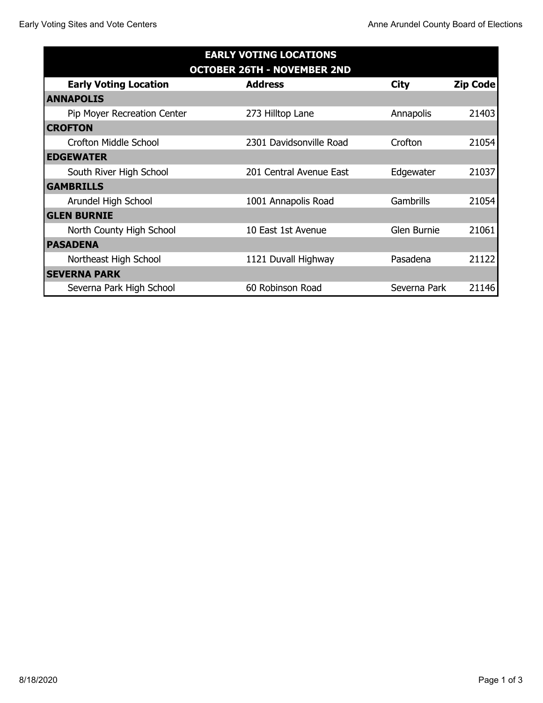| <b>EARLY VOTING LOCATIONS</b><br><b>OCTOBER 26TH - NOVEMBER 2ND</b> |                         |                  |       |  |  |
|---------------------------------------------------------------------|-------------------------|------------------|-------|--|--|
|                                                                     |                         |                  |       |  |  |
| <b>ANNAPOLIS</b>                                                    |                         |                  |       |  |  |
| Pip Moyer Recreation Center                                         | 273 Hilltop Lane        | Annapolis        | 21403 |  |  |
| <b>CROFTON</b>                                                      |                         |                  |       |  |  |
| <b>Crofton Middle School</b>                                        | 2301 Davidsonville Road | Crofton          | 21054 |  |  |
| <b>EDGEWATER</b>                                                    |                         |                  |       |  |  |
| South River High School                                             | 201 Central Avenue East | Edgewater        | 21037 |  |  |
| <b>GAMBRILLS</b>                                                    |                         |                  |       |  |  |
| Arundel High School                                                 | 1001 Annapolis Road     | <b>Gambrills</b> | 21054 |  |  |
| <b>GLEN BURNIE</b>                                                  |                         |                  |       |  |  |
| North County High School                                            | 10 East 1st Avenue      | Glen Burnie      | 21061 |  |  |
| <b>PASADENA</b>                                                     |                         |                  |       |  |  |
| Northeast High School                                               | 1121 Duvall Highway     | Pasadena         | 21122 |  |  |
| <b>SEVERNA PARK</b>                                                 |                         |                  |       |  |  |
| Severna Park High School                                            | 60 Robinson Road        | Severna Park     | 21146 |  |  |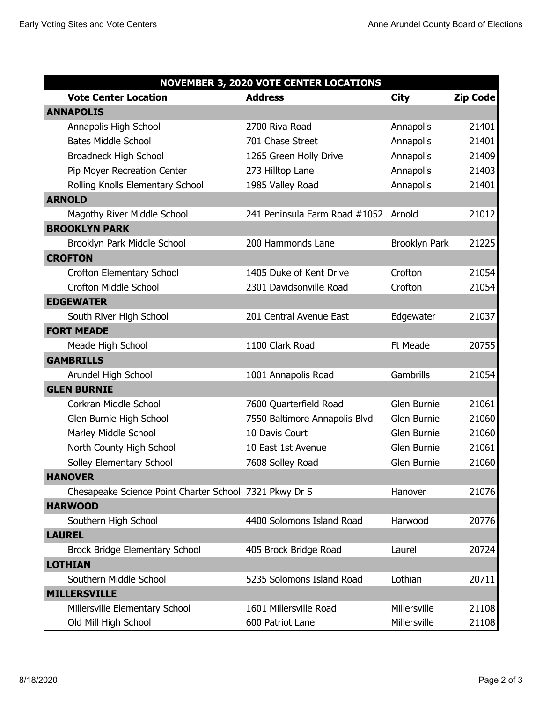| <b>NOVEMBER 3, 2020 VOTE CENTER LOCATIONS</b>          |                                      |                      |                 |  |  |  |
|--------------------------------------------------------|--------------------------------------|----------------------|-----------------|--|--|--|
| <b>Vote Center Location</b>                            | <b>Address</b>                       | <b>City</b>          | <b>Zip Code</b> |  |  |  |
| <b>ANNAPOLIS</b>                                       |                                      |                      |                 |  |  |  |
| Annapolis High School                                  | 2700 Riva Road                       | Annapolis            | 21401           |  |  |  |
| <b>Bates Middle School</b>                             | 701 Chase Street                     | Annapolis            | 21401           |  |  |  |
| Broadneck High School                                  | 1265 Green Holly Drive               | Annapolis            | 21409           |  |  |  |
| Pip Moyer Recreation Center                            | 273 Hilltop Lane                     | Annapolis            | 21403           |  |  |  |
| Rolling Knolls Elementary School                       | 1985 Valley Road                     | Annapolis            | 21401           |  |  |  |
| <b>ARNOLD</b>                                          |                                      |                      |                 |  |  |  |
| Magothy River Middle School                            | 241 Peninsula Farm Road #1052 Arnold |                      | 21012           |  |  |  |
| <b>BROOKLYN PARK</b>                                   |                                      |                      |                 |  |  |  |
| Brooklyn Park Middle School                            | 200 Hammonds Lane                    | <b>Brooklyn Park</b> | 21225           |  |  |  |
| <b>CROFTON</b>                                         |                                      |                      |                 |  |  |  |
| Crofton Elementary School                              | 1405 Duke of Kent Drive              | Crofton              | 21054           |  |  |  |
| <b>Crofton Middle School</b>                           | 2301 Davidsonville Road              | Crofton              | 21054           |  |  |  |
| <b>EDGEWATER</b>                                       |                                      |                      |                 |  |  |  |
| South River High School                                | 201 Central Avenue East              | Edgewater            | 21037           |  |  |  |
| <b>FORT MEADE</b>                                      |                                      |                      |                 |  |  |  |
| Meade High School                                      | 1100 Clark Road                      | <b>Ft Meade</b>      | 20755           |  |  |  |
| <b>GAMBRILLS</b>                                       |                                      |                      |                 |  |  |  |
| Arundel High School                                    | 1001 Annapolis Road                  | Gambrills            | 21054           |  |  |  |
| <b>GLEN BURNIE</b>                                     |                                      |                      |                 |  |  |  |
| Corkran Middle School                                  | 7600 Quarterfield Road               | Glen Burnie          | 21061           |  |  |  |
| Glen Burnie High School                                | 7550 Baltimore Annapolis Blvd        | Glen Burnie          | 21060           |  |  |  |
| Marley Middle School                                   | 10 Davis Court                       | Glen Burnie          | 21060           |  |  |  |
| North County High School                               | 10 East 1st Avenue                   | Glen Burnie          | 21061           |  |  |  |
| Solley Elementary School                               | 7608 Solley Road                     | Glen Burnie          | 21060           |  |  |  |
| <b>HANOVER</b>                                         |                                      |                      |                 |  |  |  |
| Chesapeake Science Point Charter School 7321 Pkwy Dr S |                                      | Hanover              | 21076           |  |  |  |
| <b>HARWOOD</b>                                         |                                      |                      |                 |  |  |  |
| Southern High School                                   | 4400 Solomons Island Road            | Harwood              | 20776           |  |  |  |
| <b>LAUREL</b>                                          |                                      |                      |                 |  |  |  |
| <b>Brock Bridge Elementary School</b>                  | 405 Brock Bridge Road                | Laurel               | 20724           |  |  |  |
| <b>LOTHIAN</b>                                         |                                      |                      |                 |  |  |  |
| Southern Middle School                                 | 5235 Solomons Island Road            | Lothian              | 20711           |  |  |  |
| <b>MILLERSVILLE</b>                                    |                                      |                      |                 |  |  |  |
| Millersville Elementary School                         | 1601 Millersville Road               | Millersville         | 21108           |  |  |  |
| Old Mill High School                                   | 600 Patriot Lane                     | Millersville         | 21108           |  |  |  |